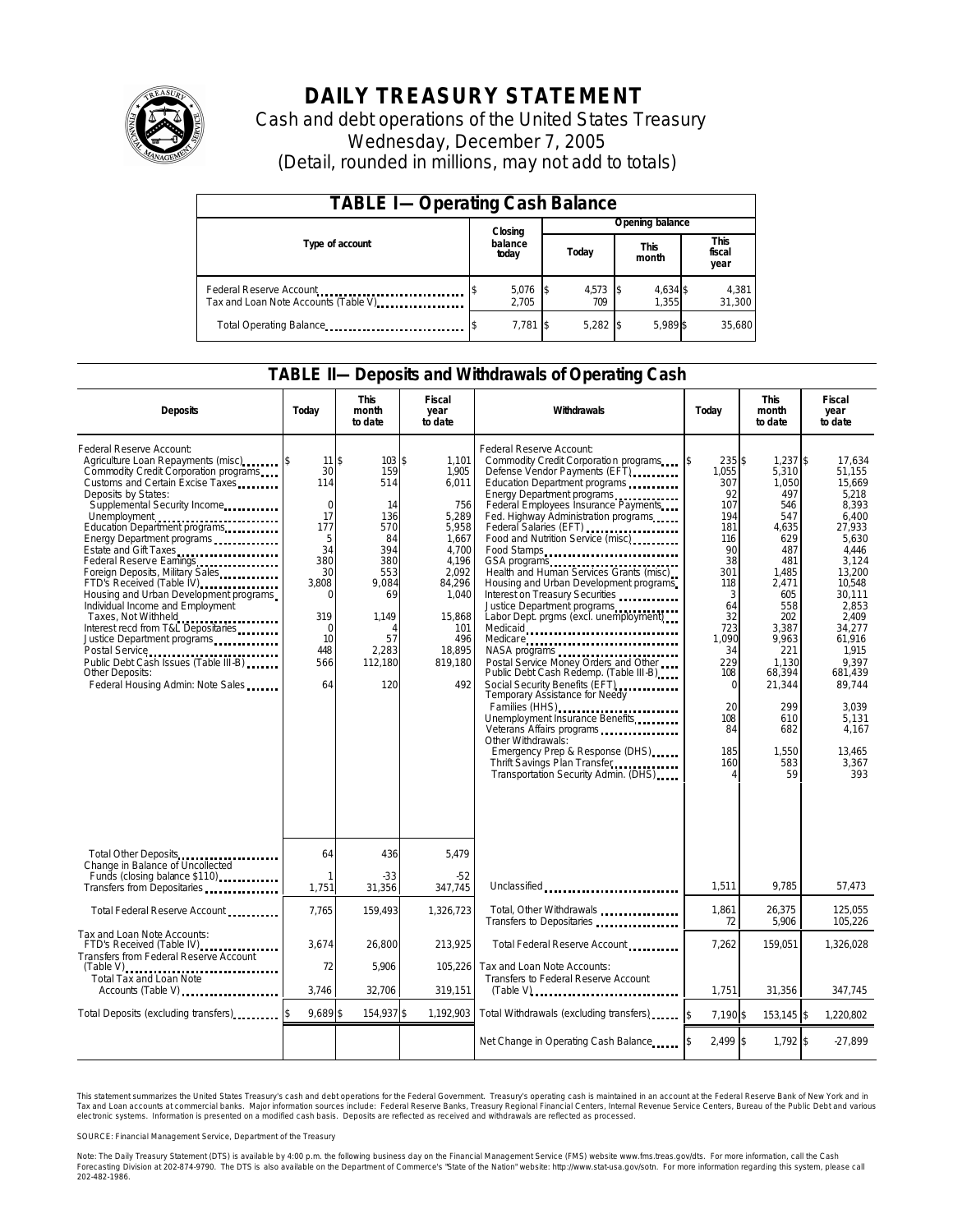

# **DAILY TREASURY STATEMENT**

Cash and debt operations of the United States Treasury Wednesday, December 7, 2005 (Detail, rounded in millions, may not add to totals)

| <b>TABLE I-Operating Cash Balance</b>                            |  |                  |  |                   |  |                      |  |                               |  |
|------------------------------------------------------------------|--|------------------|--|-------------------|--|----------------------|--|-------------------------------|--|
|                                                                  |  | Closing          |  | Opening balance   |  |                      |  |                               |  |
| Type of account                                                  |  | balance<br>today |  | Today             |  | <b>This</b><br>month |  | <b>This</b><br>fiscal<br>year |  |
| Federal Reserve Account<br>Tax and Loan Note Accounts (Table V). |  | 5,076<br>2.705   |  | $4,573$ \$<br>709 |  | 4,634 \$<br>1.355    |  | 4,381<br>31,300               |  |
| Total Operating Balance                                          |  | 7,781 \$         |  | $5.282$ \$        |  | 5.989 \$             |  | 35,680                        |  |

#### **TABLE II—Deposits and Withdrawals of Operating Cash**

| <b>Deposits</b>                                                                                                                                                                                                                                                                                                                                                                                                                                                                                                                                                                                                                                                                                                   | Today                                                                                                                                     | <b>This</b><br>month<br>to date                                                                                            | <b>Fiscal</b><br>year<br>to date                                                                                                                            | Withdrawals                                                                                                                                                                                                                                                                                                                                                                                                                                                                                                                                                                                                                                                                                                                                                                                                                                                                                                                                                                                  | Todav                                                                                                                                                                                     | <b>This</b><br>month<br>to date                                                                                                                                                                                         | <b>Fiscal</b><br>year<br>to date                                                                                                                                                                                                                           |  |
|-------------------------------------------------------------------------------------------------------------------------------------------------------------------------------------------------------------------------------------------------------------------------------------------------------------------------------------------------------------------------------------------------------------------------------------------------------------------------------------------------------------------------------------------------------------------------------------------------------------------------------------------------------------------------------------------------------------------|-------------------------------------------------------------------------------------------------------------------------------------------|----------------------------------------------------------------------------------------------------------------------------|-------------------------------------------------------------------------------------------------------------------------------------------------------------|----------------------------------------------------------------------------------------------------------------------------------------------------------------------------------------------------------------------------------------------------------------------------------------------------------------------------------------------------------------------------------------------------------------------------------------------------------------------------------------------------------------------------------------------------------------------------------------------------------------------------------------------------------------------------------------------------------------------------------------------------------------------------------------------------------------------------------------------------------------------------------------------------------------------------------------------------------------------------------------------|-------------------------------------------------------------------------------------------------------------------------------------------------------------------------------------------|-------------------------------------------------------------------------------------------------------------------------------------------------------------------------------------------------------------------------|------------------------------------------------------------------------------------------------------------------------------------------------------------------------------------------------------------------------------------------------------------|--|
| Federal Reserve Account:<br>Agriculture Loan Repayments (misc)<br>Commodity Credit Corporation programs<br>Customs and Certain Excise Taxes<br>Deposits by States:<br>Supplemental Security Income<br>Unemployment<br>Education Department programs<br>Energy Department programs<br>Estate and Gift Taxes<br>Federal Reserve Earnings [19] Federal Reserve Earnings<br>Foreign Deposits, Military Sales<br>FTD's Received (Table IV)<br>Housing and Urban Development programs<br>Individual Income and Employment<br>Taxes, Not Withheld<br>Interest recd from T&L Depositaries<br>Justice Department programs<br>Public Debt Cash Issues (Table III-B)<br>Other Deposits:<br>Federal Housing Admin: Note Sales | $11$ s<br>30<br>114<br>$\mathbf 0$<br>17<br>177<br>5<br>34<br>380<br>30<br>3.808<br>$\Omega$<br>319<br>$\Omega$<br>10<br>448<br>566<br>64 | 103S<br>159<br>514<br>14<br>136<br>570<br>84<br>394<br>380<br>553<br>9.084<br>69<br>1,149<br>57<br>2,283<br>112,180<br>120 | 1,101<br>1,905<br>6,011<br>756<br>5,289<br>5,958<br>1,667<br>4,700<br>4,196<br>2.092<br>84,296<br>1.040<br>15,868<br>101<br>496<br>18.895<br>819,180<br>492 | Federal Reserve Account:<br>Commodity Credit Corporation programs<br>Defense Vendor Payments (EFT)<br>Education Department programs<br>Energy Department programs<br>Federal Employees Insurance Payments<br>Fed. Highway Administration programs<br>Federal Salaries (EFT) <b>[1994]</b> Federal Salaries (EFT)<br>Food and Nutrition Service (misc)<br>Food Stamps<br>GSA programs<br>Health and Human Services Grants (misc)<br>Housing and Urban Development programs<br>Interest on Treasury Securities<br>Justice Department programs<br>Labor Dept. prgms (excl. unemployment)<br>Medicare<br>NASA programs<br>Postal Service Money Orders and Other<br>Public Debt Cash Redemp. (Table III-B)<br>Social Security Benefits (EFT)<br>Temporary Assistance for Needy<br>Families (HHS)<br>Unemployment Insurance Benefits<br>Veterans Affairs programs<br>Other Withdrawals:<br>Emergency Prep & Response (DHS)<br>Thrift Savings Plan Transfer<br>Transportation Security Admin. (DHS) | 235\$<br>\$<br>1,055<br>307<br>92<br>107<br>194<br>181<br>116<br>90<br>38<br>301<br>118<br>3<br>64<br>32<br>723<br>1.090<br>34<br>229<br>108<br>$\Omega$<br>20<br>108<br>84<br>185<br>160 | $1,237$ \$<br>5,310<br>1,050<br>497<br>546<br>547<br>4,635<br>629<br>487<br>481<br>1,485<br>2.471<br>605<br>558<br>202<br>3,387<br>9,963<br>221<br>1,130<br>68.394<br>21,344<br>299<br>610<br>682<br>1.550<br>583<br>59 | 17.634<br>51,155<br>15.669<br>5,218<br>8.393<br>6.400<br>27,933<br>5,630<br>4.446<br>3.124<br>13.200<br>10.548<br>30.111<br>2,853<br>2.409<br>34,277<br>61.916<br>1.915<br>9.397<br>681.439<br>89,744<br>3.039<br>5,131<br>4.167<br>13.465<br>3,367<br>393 |  |
| Total Other Deposits<br>Change in Balance of Uncollected                                                                                                                                                                                                                                                                                                                                                                                                                                                                                                                                                                                                                                                          | 64                                                                                                                                        | 436                                                                                                                        | 5,479                                                                                                                                                       |                                                                                                                                                                                                                                                                                                                                                                                                                                                                                                                                                                                                                                                                                                                                                                                                                                                                                                                                                                                              |                                                                                                                                                                                           |                                                                                                                                                                                                                         |                                                                                                                                                                                                                                                            |  |
| Funds (closing balance \$110)<br>Transfers from Depositaries                                                                                                                                                                                                                                                                                                                                                                                                                                                                                                                                                                                                                                                      | 1,751                                                                                                                                     | $-33$<br>31,356                                                                                                            | $-52$<br>347.745                                                                                                                                            | Unclassified                                                                                                                                                                                                                                                                                                                                                                                                                                                                                                                                                                                                                                                                                                                                                                                                                                                                                                                                                                                 | 1,511                                                                                                                                                                                     | 9.785                                                                                                                                                                                                                   | 57,473                                                                                                                                                                                                                                                     |  |
| Total Federal Reserve Account                                                                                                                                                                                                                                                                                                                                                                                                                                                                                                                                                                                                                                                                                     | 7,765                                                                                                                                     | 159,493                                                                                                                    | 1,326,723                                                                                                                                                   | Total, Other Withdrawals<br>Transfers to Depositaries                                                                                                                                                                                                                                                                                                                                                                                                                                                                                                                                                                                                                                                                                                                                                                                                                                                                                                                                        | 1.861<br>72                                                                                                                                                                               | 26,375<br>5,906                                                                                                                                                                                                         | 125.055<br>105,226                                                                                                                                                                                                                                         |  |
| Tax and Loan Note Accounts:<br>FTD's Received (Table IV)<br><br>Transfers from Federal Reserve Account                                                                                                                                                                                                                                                                                                                                                                                                                                                                                                                                                                                                            | 3,674                                                                                                                                     | 26,800                                                                                                                     | 213,925                                                                                                                                                     | Total Federal Reserve Account                                                                                                                                                                                                                                                                                                                                                                                                                                                                                                                                                                                                                                                                                                                                                                                                                                                                                                                                                                | 7,262                                                                                                                                                                                     | 159,051                                                                                                                                                                                                                 | 1,326,028                                                                                                                                                                                                                                                  |  |
| <b>Total Tax and Loan Note</b><br>Accounts (Table V)                                                                                                                                                                                                                                                                                                                                                                                                                                                                                                                                                                                                                                                              | 72<br>3.746                                                                                                                               | 5,906<br>32,706                                                                                                            | 105,226<br>319,151                                                                                                                                          | Tax and Loan Note Accounts:<br>Transfers to Federal Reserve Account<br>$(Table V)$                                                                                                                                                                                                                                                                                                                                                                                                                                                                                                                                                                                                                                                                                                                                                                                                                                                                                                           | 1.751                                                                                                                                                                                     | 31,356                                                                                                                                                                                                                  | 347,745                                                                                                                                                                                                                                                    |  |
| Total Deposits (excluding transfers)                                                                                                                                                                                                                                                                                                                                                                                                                                                                                                                                                                                                                                                                              | 9,689 \$                                                                                                                                  | 154,937 \$                                                                                                                 | 1,192,903                                                                                                                                                   | Total Withdrawals (excluding transfers)                                                                                                                                                                                                                                                                                                                                                                                                                                                                                                                                                                                                                                                                                                                                                                                                                                                                                                                                                      | 7.190 \$                                                                                                                                                                                  | 153,145 \$                                                                                                                                                                                                              | 1.220.802                                                                                                                                                                                                                                                  |  |
|                                                                                                                                                                                                                                                                                                                                                                                                                                                                                                                                                                                                                                                                                                                   |                                                                                                                                           |                                                                                                                            |                                                                                                                                                             | Net Change in Operating Cash Balance                                                                                                                                                                                                                                                                                                                                                                                                                                                                                                                                                                                                                                                                                                                                                                                                                                                                                                                                                         | $2.499$ \$                                                                                                                                                                                | 1,792 \$                                                                                                                                                                                                                | $-27,899$                                                                                                                                                                                                                                                  |  |

This statement summarizes the United States Treasury's cash and debt operations for the Federal Government. Treasury's operating cash is maintained in an account at the Federal Reserve Bank of New York and in Tax and Loan accounts at commercial banks. Major information sources include: Federal Reserve Banks, Treasury Regional Financial Centers, Internal Revenue Service Centers, Bureau of the Public Debt and various<br>electronic s

SOURCE: Financial Management Service, Department of the Treasury

Note: The Daily Treasury Statement (DTS) is available by 4:00 p.m. the following business day on the Financial Management Service (FMS) website www.fms.treas.gov/dts.<br>Forecasting Division at 202-874-9790. The DTS is also a 'S) is available by 4:00 p.m. the following business day on the Financial Management Service (FMS) website www.fms.treas.gov/dts. For more information, call the Cash<br>The DTS is also available on the Department of Commerce'